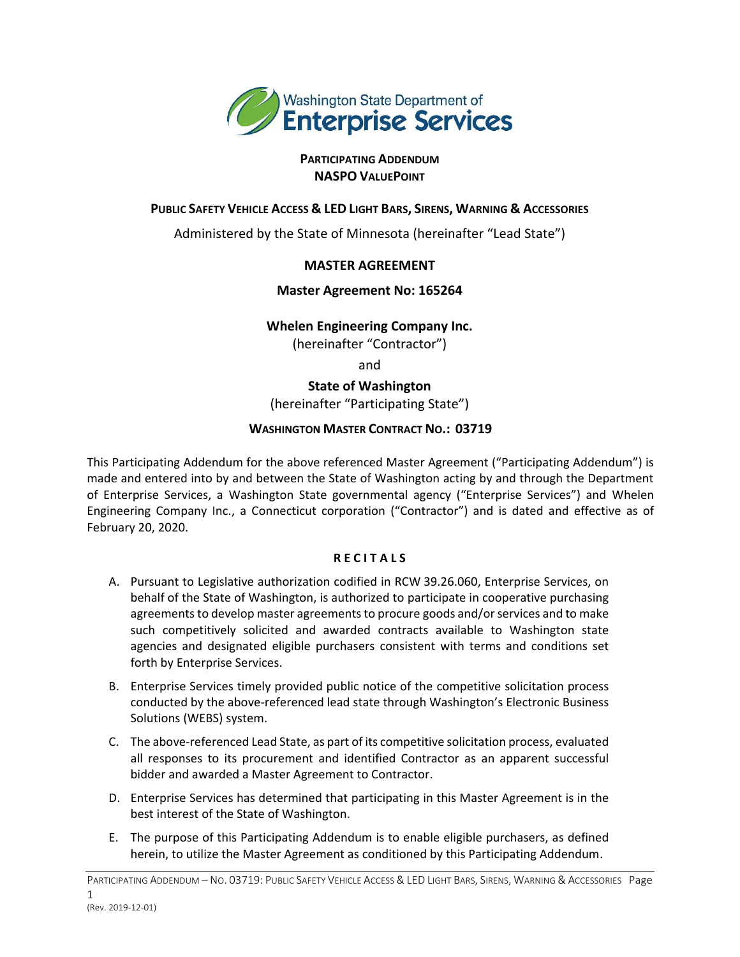

## **PARTICIPATING ADDENDUM NASPO VALUEPOINT**

## PUBLIC SAFETY VEHICLE ACCESS & LED LIGHT BARS, SIRENS, WARNING & ACCESSORIES

Administered by the State of Minnesota (hereinafter "Lead State")

# **MASTER AGREEMENT**

## **Master Agreement No: 165264**

## **Whelen Engineering Company Inc.**

(hereinafter "Contractor")

and

**State of Washington** (hereinafter "Participating State")

## **WASHINGTON MASTER CONTRACT NO.: 03719**

This Participating Addendum for the above referenced Master Agreement ("Participating Addendum") is made and entered into by and between the State of Washington acting by and through the Department of Enterprise Services, a Washington State governmental agency ("Enterprise Services") and Whelen Engineering Company Inc., a Connecticut corporation ("Contractor") and is dated and effective as of February 20, 2020.

## **R E C I T A L S**

- A. Pursuant to Legislative authorization codified in RCW 39.26.060, Enterprise Services, on behalf of the State of Washington, is authorized to participate in cooperative purchasing agreements to develop master agreements to procure goods and/or services and to make such competitively solicited and awarded contracts available to Washington state agencies and designated eligible purchasers consistent with terms and conditions set forth by Enterprise Services.
- B. Enterprise Services timely provided public notice of the competitive solicitation process conducted by the above-referenced lead state through Washington's Electronic Business Solutions (WEBS) system.
- C. The above-referenced Lead State, as part of its competitive solicitation process, evaluated all responses to its procurement and identified Contractor as an apparent successful bidder and awarded a Master Agreement to Contractor.
- D. Enterprise Services has determined that participating in this Master Agreement is in the best interest of the State of Washington.
- E. The purpose of this Participating Addendum is to enable eligible purchasers, as defined herein, to utilize the Master Agreement as conditioned by this Participating Addendum.

PARTICIPATING ADDENDUM – NO. 03719: PUBLIC SAFETY VEHICLE ACCESS & LED LIGHT BARS, SIRENS, WARNING & ACCESSORIES Page 1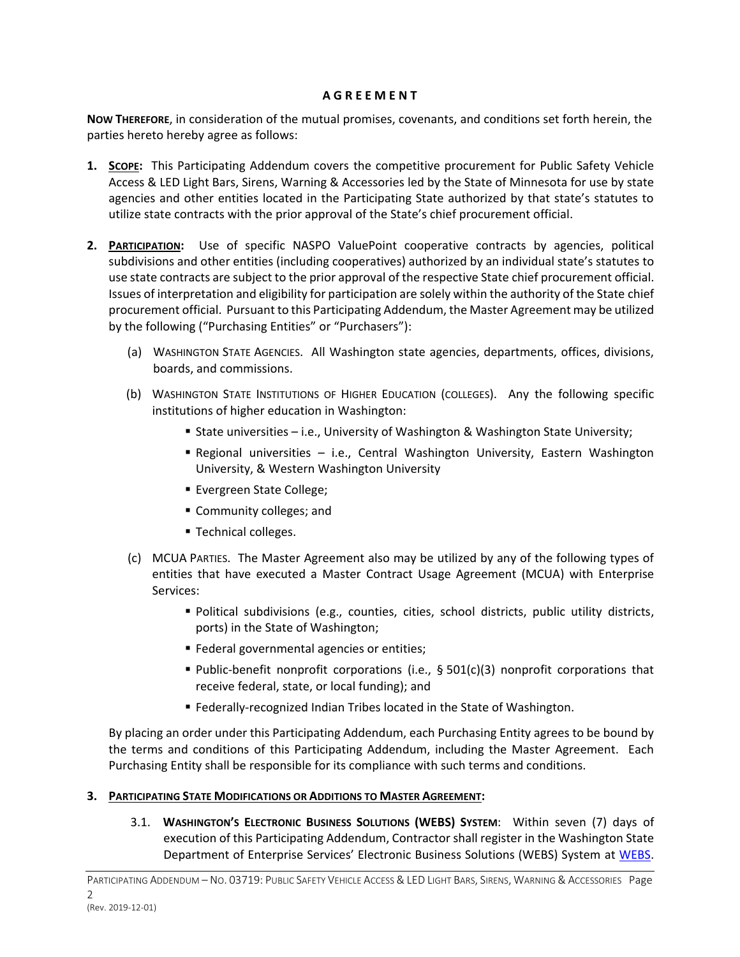#### **A G R E E M E N T**

**NOW THEREFORE**, in consideration of the mutual promises, covenants, and conditions set forth herein, the parties hereto hereby agree as follows:

- **1. SCOPE:** This Participating Addendum covers the competitive procurement for Public Safety Vehicle Access & LED Light Bars, Sirens, Warning & Accessories led by the State of Minnesota for use by state agencies and other entities located in the Participating State authorized by that state's statutes to utilize state contracts with the prior approval of the State's chief procurement official.
- **2. PARTICIPATION:** Use of specific NASPO ValuePoint cooperative contracts by agencies, political subdivisions and other entities (including cooperatives) authorized by an individual state's statutes to use state contracts are subject to the prior approval of the respective State chief procurement official. Issues of interpretation and eligibility for participation are solely within the authority of the State chief procurement official. Pursuant to this Participating Addendum, the Master Agreement may be utilized by the following ("Purchasing Entities" or "Purchasers"):
	- (a) WASHINGTON STATE AGENCIES. All Washington state agencies, departments, offices, divisions, boards, and commissions.
	- (b) WASHINGTON STATE INSTITUTIONS OF HIGHER EDUCATION (COLLEGES). Any the following specific institutions of higher education in Washington:
		- State universities i.e., University of Washington & Washington State University;
		- **E** Regional universities i.e., Central Washington University, Eastern Washington University, & Western Washington University
		- Evergreen State College;
		- Community colleges; and
		- Technical colleges.
	- (c) MCUA PARTIES. The Master Agreement also may be utilized by any of the following types of entities that have executed a Master Contract Usage Agreement (MCUA) with Enterprise Services:
		- Political subdivisions (e.g., counties, cities, school districts, public utility districts, ports) in the State of Washington;
		- Federal governmental agencies or entities;
		- Public-benefit nonprofit corporations (i.e., § 501(c)(3) nonprofit corporations that receive federal, state, or local funding); and
		- Federally-recognized Indian Tribes located in the State of Washington.

By placing an order under this Participating Addendum, each Purchasing Entity agrees to be bound by the terms and conditions of this Participating Addendum, including the Master Agreement. Each Purchasing Entity shall be responsible for its compliance with such terms and conditions.

## **3. PARTICIPATING STATE MODIFICATIONS OR ADDITIONS TO MASTER AGREEMENT:**

3.1. **WASHINGTON'S ELECTRONIC BUSINESS SOLUTIONS (WEBS) SYSTEM**: Within seven (7) days of execution of this Participating Addendum, Contractor shall register in the Washington State Department of Enterprise Services' Electronic Business Solutions (WEBS) System at WEBS.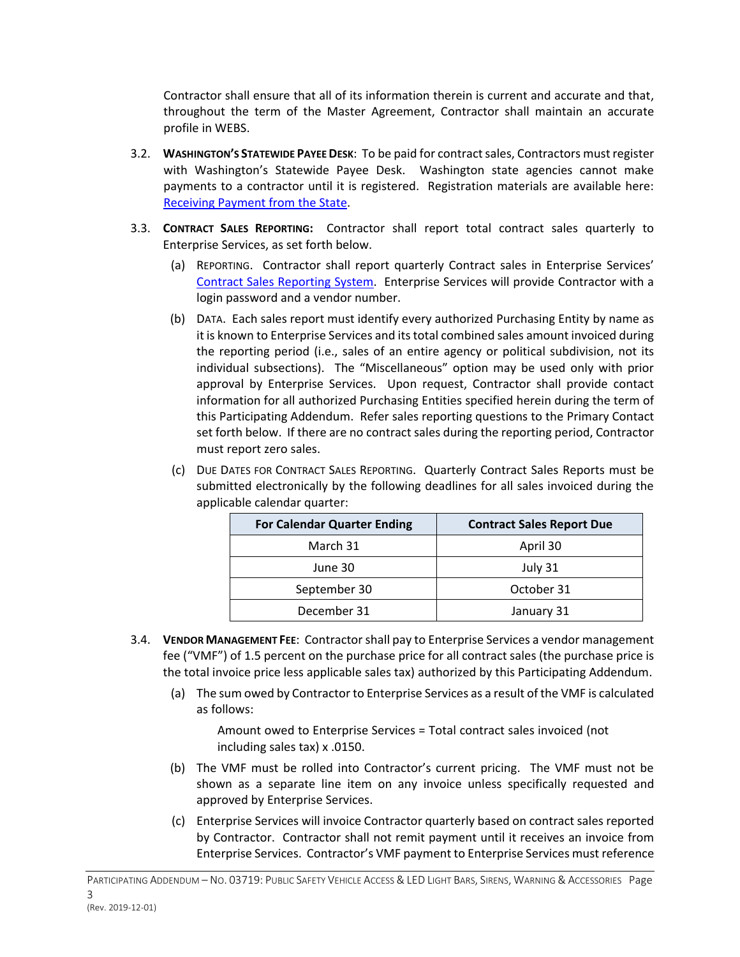Contractor shall ensure that all of its information therein is current and accurate and that, throughout the term of the Master Agreement, Contractor shall maintain an accurate profile in WEBS.

- 3.2. **WASHINGTON'S STATEWIDE PAYEE DESK**: To be paid for contract sales, Contractors must register with Washington's Statewide Payee Desk. Washington state agencies cannot make payments to a contractor until it is registered. Registration materials are available here: Receiving Payment from the State.
- 3.3. **CONTRACT SALES REPORTING:** Contractor shall report total contract sales quarterly to Enterprise Services, as set forth below.
	- (a) REPORTING. Contractor shall report quarterly Contract sales in Enterprise Services' Contract Sales Reporting System. Enterprise Services will provide Contractor with a login password and a vendor number.
	- (b) DATA. Each sales report must identify every authorized Purchasing Entity by name as it is known to Enterprise Services and its total combined sales amount invoiced during the reporting period (i.e., sales of an entire agency or political subdivision, not its individual subsections). The "Miscellaneous" option may be used only with prior approval by Enterprise Services. Upon request, Contractor shall provide contact information for all authorized Purchasing Entities specified herein during the term of this Participating Addendum. Refer sales reporting questions to the Primary Contact set forth below. If there are no contract sales during the reporting period, Contractor must report zero sales.
	- (c) DUE DATES FOR CONTRACT SALES REPORTING. Quarterly Contract Sales Reports must be submitted electronically by the following deadlines for all sales invoiced during the applicable calendar quarter:

| <b>For Calendar Quarter Ending</b> | <b>Contract Sales Report Due</b> |
|------------------------------------|----------------------------------|
| March 31                           | April 30                         |
| June 30                            | July 31                          |
| September 30                       | October 31                       |
| December 31                        | January 31                       |

- 3.4. **VENDOR MANAGEMENT FEE**: Contractor shall pay to Enterprise Services a vendor management fee ("VMF") of 1.5 percent on the purchase price for all contract sales (the purchase price is the total invoice price less applicable sales tax) authorized by this Participating Addendum.
	- (a) The sum owed by Contractor to Enterprise Services as a result of the VMF is calculated as follows:

Amount owed to Enterprise Services = Total contract sales invoiced (not including sales tax) x .0150.

- (b) The VMF must be rolled into Contractor's current pricing. The VMF must not be shown as a separate line item on any invoice unless specifically requested and approved by Enterprise Services.
- (c) Enterprise Services will invoice Contractor quarterly based on contract sales reported by Contractor. Contractor shall not remit payment until it receives an invoice from Enterprise Services. Contractor's VMF payment to Enterprise Services must reference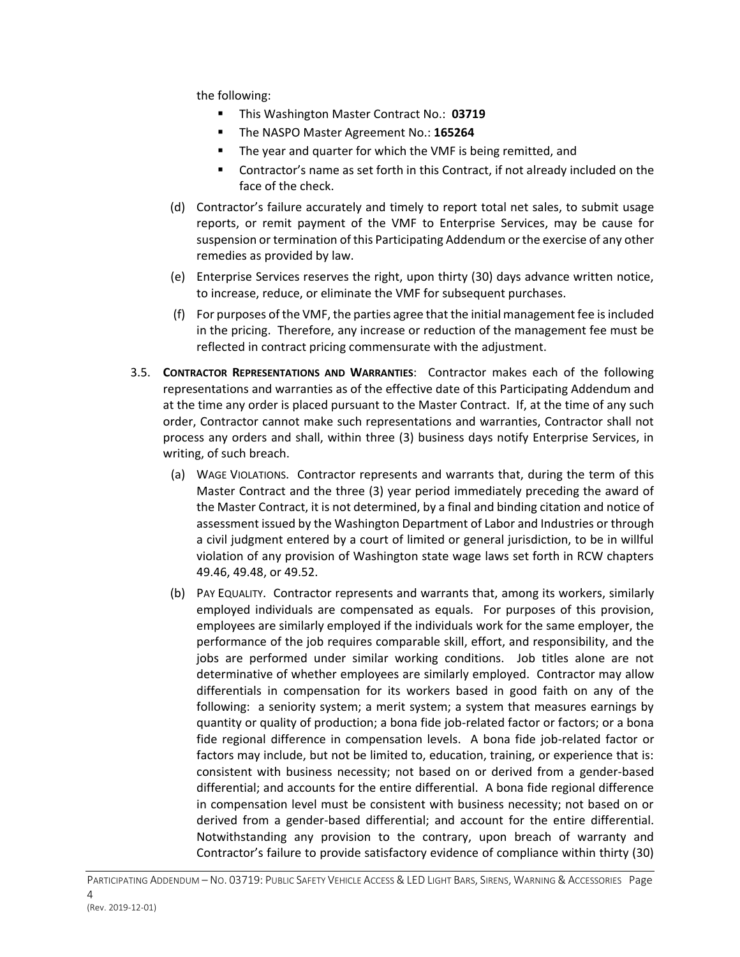the following:

- This Washington Master Contract No.: **03719**
- The NASPO Master Agreement No.: **165264**
- The year and quarter for which the VMF is being remitted, and
- Contractor's name as set forth in this Contract, if not already included on the face of the check.
- (d) Contractor's failure accurately and timely to report total net sales, to submit usage reports, or remit payment of the VMF to Enterprise Services, may be cause for suspension or termination of this Participating Addendum or the exercise of any other remedies as provided by law.
- (e) Enterprise Services reserves the right, upon thirty (30) days advance written notice, to increase, reduce, or eliminate the VMF for subsequent purchases.
- (f) For purposes of the VMF, the parties agree that the initial management fee isincluded in the pricing. Therefore, any increase or reduction of the management fee must be reflected in contract pricing commensurate with the adjustment.
- 3.5. **CONTRACTOR REPRESENTATIONS AND WARRANTIES**: Contractor makes each of the following representations and warranties as of the effective date of this Participating Addendum and at the time any order is placed pursuant to the Master Contract. If, at the time of any such order, Contractor cannot make such representations and warranties, Contractor shall not process any orders and shall, within three (3) business days notify Enterprise Services, in writing, of such breach.
	- (a) WAGE VIOLATIONS. Contractor represents and warrants that, during the term of this Master Contract and the three (3) year period immediately preceding the award of the Master Contract, it is not determined, by a final and binding citation and notice of assessment issued by the Washington Department of Labor and Industries or through a civil judgment entered by a court of limited or general jurisdiction, to be in willful violation of any provision of Washington state wage laws set forth in RCW chapters 49.46, 49.48, or 49.52.
	- (b) PAY EQUALITY. Contractor represents and warrants that, among its workers, similarly employed individuals are compensated as equals. For purposes of this provision, employees are similarly employed if the individuals work for the same employer, the performance of the job requires comparable skill, effort, and responsibility, and the jobs are performed under similar working conditions. Job titles alone are not determinative of whether employees are similarly employed. Contractor may allow differentials in compensation for its workers based in good faith on any of the following: a seniority system; a merit system; a system that measures earnings by quantity or quality of production; a bona fide job-related factor or factors; or a bona fide regional difference in compensation levels. A bona fide job-related factor or factors may include, but not be limited to, education, training, or experience that is: consistent with business necessity; not based on or derived from a gender-based differential; and accounts for the entire differential. A bona fide regional difference in compensation level must be consistent with business necessity; not based on or derived from a gender-based differential; and account for the entire differential. Notwithstanding any provision to the contrary, upon breach of warranty and Contractor's failure to provide satisfactory evidence of compliance within thirty (30)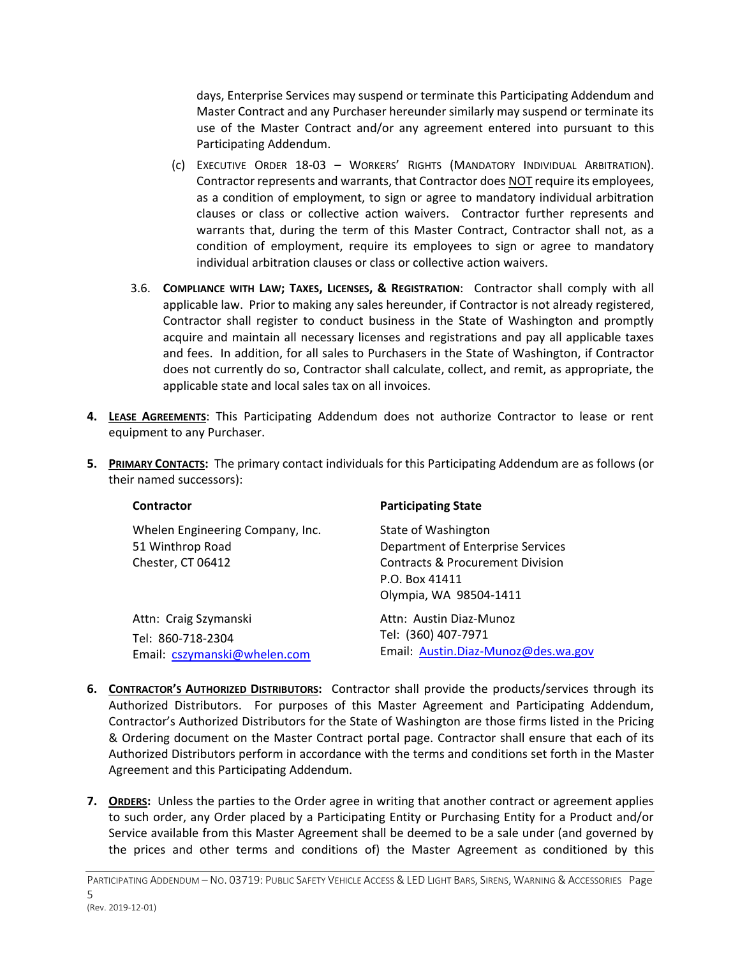days, Enterprise Services may suspend or terminate this Participating Addendum and Master Contract and any Purchaser hereunder similarly may suspend or terminate its use of the Master Contract and/or any agreement entered into pursuant to this Participating Addendum.

- (c) EXECUTIVE ORDER 18-03 WORKERS' RIGHTS (MANDATORY INDIVIDUAL ARBITRATION). Contractor represents and warrants, that Contractor does NOT require its employees, as a condition of employment, to sign or agree to mandatory individual arbitration clauses or class or collective action waivers. Contractor further represents and warrants that, during the term of this Master Contract, Contractor shall not, as a condition of employment, require its employees to sign or agree to mandatory individual arbitration clauses or class or collective action waivers.
- 3.6. **COMPLIANCE WITH LAW; TAXES, LICENSES, & REGISTRATION**: Contractor shall comply with all applicable law. Prior to making any sales hereunder, if Contractor is not already registered, Contractor shall register to conduct business in the State of Washington and promptly acquire and maintain all necessary licenses and registrations and pay all applicable taxes and fees. In addition, for all sales to Purchasers in the State of Washington, if Contractor does not currently do so, Contractor shall calculate, collect, and remit, as appropriate, the applicable state and local sales tax on all invoices.
- **4. LEASE AGREEMENTS**: This Participating Addendum does not authorize Contractor to lease or rent equipment to any Purchaser.
- **5. PRIMARY CONTACTS:** The primary contact individuals for this Participating Addendum are as follows (or their named successors):

| <b>Contractor</b>                                                          | <b>Participating State</b>                                                                                                                          |
|----------------------------------------------------------------------------|-----------------------------------------------------------------------------------------------------------------------------------------------------|
| Whelen Engineering Company, Inc.<br>51 Winthrop Road<br>Chester, CT 06412  | State of Washington<br>Department of Enterprise Services<br><b>Contracts &amp; Procurement Division</b><br>P.O. Box 41411<br>Olympia, WA 98504-1411 |
| Attn: Craig Szymanski<br>Tel: 860-718-2304<br>Email: cszymanski@whelen.com | Attn: Austin Diaz-Munoz<br>Tel: (360) 407-7971<br>Email: Austin.Diaz-Munoz@des.wa.gov                                                               |

- **6. CONTRACTOR'S AUTHORIZED DISTRIBUTORS:** Contractor shall provide the products/services through its Authorized Distributors. For purposes of this Master Agreement and Participating Addendum, Contractor's Authorized Distributors for the State of Washington are those firms listed in the Pricing & Ordering document on the Master Contract portal page. Contractor shall ensure that each of its Authorized Distributors perform in accordance with the terms and conditions set forth in the Master Agreement and this Participating Addendum.
- **7. ORDERS:** Unless the parties to the Order agree in writing that another contract or agreement applies to such order, any Order placed by a Participating Entity or Purchasing Entity for a Product and/or Service available from this Master Agreement shall be deemed to be a sale under (and governed by the prices and other terms and conditions of) the Master Agreement as conditioned by this